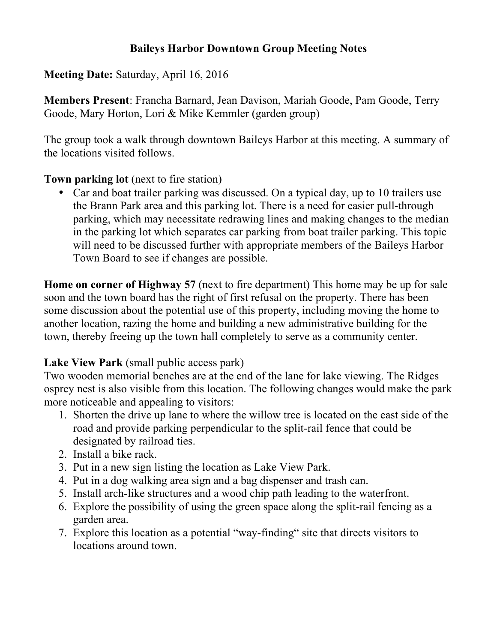### **Baileys Harbor Downtown Group Meeting Notes**

**Meeting Date:** Saturday, April 16, 2016

**Members Present**: Francha Barnard, Jean Davison, Mariah Goode, Pam Goode, Terry Goode, Mary Horton, Lori & Mike Kemmler (garden group)

The group took a walk through downtown Baileys Harbor at this meeting. A summary of the locations visited follows.

#### **Town parking lot** (next to fire station)

• Car and boat trailer parking was discussed. On a typical day, up to 10 trailers use the Brann Park area and this parking lot. There is a need for easier pull-through parking, which may necessitate redrawing lines and making changes to the median in the parking lot which separates car parking from boat trailer parking. This topic will need to be discussed further with appropriate members of the Baileys Harbor Town Board to see if changes are possible.

**Home on corner of Highway 57** (next to fire department) This home may be up for sale soon and the town board has the right of first refusal on the property. There has been some discussion about the potential use of this property, including moving the home to another location, razing the home and building a new administrative building for the town, thereby freeing up the town hall completely to serve as a community center.

### **Lake View Park** (small public access park)

Two wooden memorial benches are at the end of the lane for lake viewing. The Ridges osprey nest is also visible from this location. The following changes would make the park more noticeable and appealing to visitors:

- 1. Shorten the drive up lane to where the willow tree is located on the east side of the road and provide parking perpendicular to the split-rail fence that could be designated by railroad ties.
- 2. Install a bike rack.
- 3. Put in a new sign listing the location as Lake View Park.
- 4. Put in a dog walking area sign and a bag dispenser and trash can.
- 5. Install arch-like structures and a wood chip path leading to the waterfront.
- 6. Explore the possibility of using the green space along the split-rail fencing as a garden area.
- 7. Explore this location as a potential "way-finding" site that directs visitors to locations around town.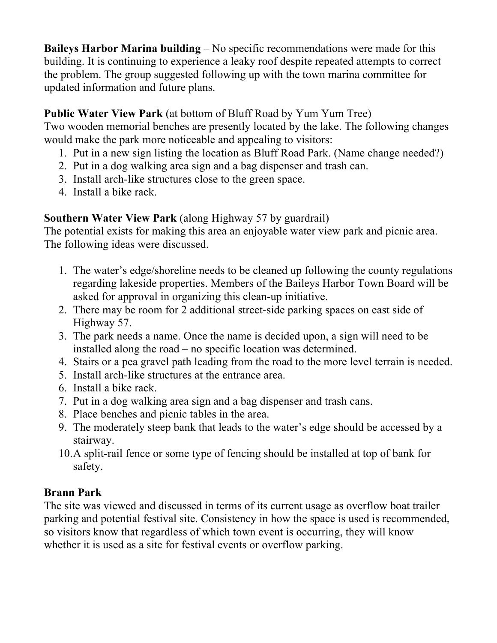**Baileys Harbor Marina building** – No specific recommendations were made for this building. It is continuing to experience a leaky roof despite repeated attempts to correct the problem. The group suggested following up with the town marina committee for updated information and future plans.

# **Public Water View Park** (at bottom of Bluff Road by Yum Yum Tree)

Two wooden memorial benches are presently located by the lake. The following changes would make the park more noticeable and appealing to visitors:

- 1. Put in a new sign listing the location as Bluff Road Park. (Name change needed?)
- 2. Put in a dog walking area sign and a bag dispenser and trash can.
- 3. Install arch-like structures close to the green space.
- 4. Install a bike rack.

# **Southern Water View Park** (along Highway 57 by guardrail)

The potential exists for making this area an enjoyable water view park and picnic area. The following ideas were discussed.

- 1. The water's edge/shoreline needs to be cleaned up following the county regulations regarding lakeside properties. Members of the Baileys Harbor Town Board will be asked for approval in organizing this clean-up initiative.
- 2. There may be room for 2 additional street-side parking spaces on east side of Highway 57.
- 3. The park needs a name. Once the name is decided upon, a sign will need to be installed along the road – no specific location was determined.
- 4. Stairs or a pea gravel path leading from the road to the more level terrain is needed.
- 5. Install arch-like structures at the entrance area.
- 6. Install a bike rack.
- 7. Put in a dog walking area sign and a bag dispenser and trash cans.
- 8. Place benches and picnic tables in the area.
- 9. The moderately steep bank that leads to the water's edge should be accessed by a stairway.
- 10.A split-rail fence or some type of fencing should be installed at top of bank for safety.

## **Brann Park**

The site was viewed and discussed in terms of its current usage as overflow boat trailer parking and potential festival site. Consistency in how the space is used is recommended, so visitors know that regardless of which town event is occurring, they will know whether it is used as a site for festival events or overflow parking.